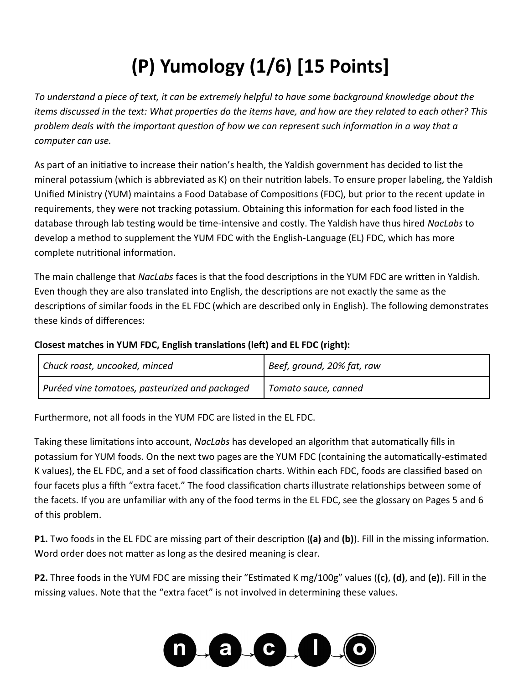## **(P) Yumology (1/6) [15 Points]**

*To understand a piece of text, it can be extremely helpful to have some background knowledge about the items discussed in the text: What properties do the items have, and how are they related to each other? This problem deals with the important question of how we can represent such information in a way that a computer can use.*

As part of an initiative to increase their nation's health, the Yaldish government has decided to list the mineral potassium (which is abbreviated as K) on their nutrition labels. To ensure proper labeling, the Yaldish Unified Ministry (YUM) maintains a Food Database of Compositions (FDC), but prior to the recent update in requirements, they were not tracking potassium. Obtaining this information for each food listed in the database through lab testing would be time-intensive and costly. The Yaldish have thus hired *NacLabs* to develop a method to supplement the YUM FDC with the English-Language (EL) FDC, which has more complete nutritional information.

The main challenge that *NacLabs* faces is that the food descriptions in the YUM FDC are written in Yaldish. Even though they are also translated into English, the descriptions are not exactly the same as the descriptions of similar foods in the EL FDC (which are described only in English). The following demonstrates these kinds of differences:

#### **Closest matches in YUM FDC, English translations (left) and EL FDC (right):**

| Chuck roast, uncooked, minced                  | Beef, ground, 20% fat, raw |
|------------------------------------------------|----------------------------|
| Puréed vine tomatoes, pasteurized and packaged | Tomato sauce, canned       |

Furthermore, not all foods in the YUM FDC are listed in the EL FDC.

Taking these limitations into account, *NacLabs* has developed an algorithm that automatically fills in potassium for YUM foods. On the next two pages are the YUM FDC (containing the automatically-estimated K values), the EL FDC, and a set of food classification charts. Within each FDC, foods are classified based on four facets plus a fifth "extra facet." The food classification charts illustrate relationships between some of the facets. If you are unfamiliar with any of the food terms in the EL FDC, see the glossary on Pages 5 and 6 of this problem.

**P1.** Two foods in the EL FDC are missing part of their description (**(a)** and **(b)**). Fill in the missing information. Word order does not matter as long as the desired meaning is clear.

**P2.** Three foods in the YUM FDC are missing their "Estimated K mg/100g" values (**(c)**, **(d)**, and **(e)**). Fill in the missing values. Note that the "extra facet" is not involved in determining these values.

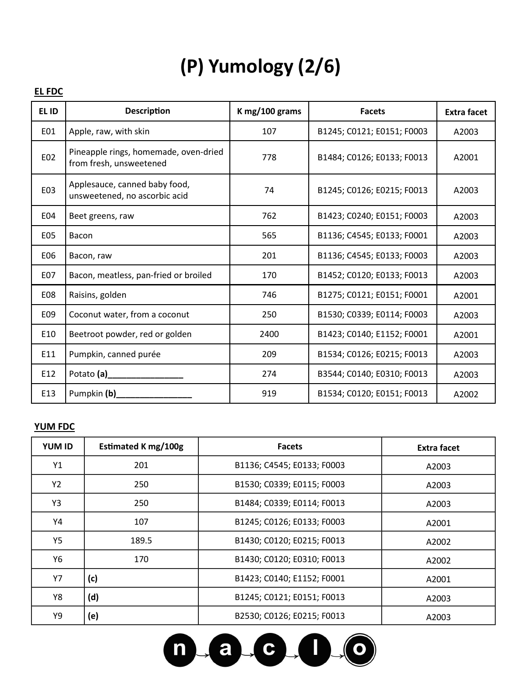### **(P) Yumology (2/6)**

#### **EL FDC**

| EL ID | <b>Description</b>                                               | K mg/100 grams | <b>Facets</b>              | <b>Extra facet</b> |
|-------|------------------------------------------------------------------|----------------|----------------------------|--------------------|
| E01   | Apple, raw, with skin                                            | 107            | B1245; C0121; E0151; F0003 | A2003              |
| E02   | Pineapple rings, homemade, oven-dried<br>from fresh, unsweetened | 778            | B1484; C0126; E0133; F0013 | A2001              |
| E03   | Applesauce, canned baby food,<br>unsweetened, no ascorbic acid   | 74             | B1245; C0126; E0215; F0013 | A2003              |
| E04   | Beet greens, raw                                                 | 762            | B1423; C0240; E0151; F0003 | A2003              |
| E05   | Bacon                                                            | 565            | B1136; C4545; E0133; F0001 | A2003              |
| E06   | Bacon, raw                                                       | 201            | B1136; C4545; E0133; F0003 | A2003              |
| E07   | Bacon, meatless, pan-fried or broiled                            | 170            | B1452; C0120; E0133; F0013 | A2003              |
| E08   | Raisins, golden                                                  | 746            | B1275; C0121; E0151; F0001 | A2001              |
| E09   | Coconut water, from a coconut                                    | 250            | B1530; C0339; E0114; F0003 | A2003              |
| E10   | Beetroot powder, red or golden                                   | 2400           | B1423; C0140; E1152; F0001 | A2001              |
| E11   | Pumpkin, canned purée                                            | 209            | B1534; C0126; E0215; F0013 | A2003              |
| E12   |                                                                  | 274            | B3544; C0140; E0310; F0013 | A2003              |
| E13   | Pumpkin (b)_                                                     | 919            | B1534; C0120; E0151; F0013 | A2002              |

#### **YUM FDC**

| <b>YUM ID</b> | Estimated K mg/100g | <b>Facets</b>              | Extra facet |
|---------------|---------------------|----------------------------|-------------|
| Υ1            | 201                 | B1136; C4545; E0133; F0003 | A2003       |
| Y2            | 250                 | B1530; C0339; E0115; F0003 | A2003       |
| Y3            | 250                 | B1484; C0339; E0114; F0013 | A2003       |
| Υ4            | 107                 | B1245; C0126; E0133; F0003 | A2001       |
| Y5            | 189.5               | B1430; C0120; E0215; F0013 | A2002       |
| Y6            | 170                 | B1430; C0120; E0310; F0013 | A2002       |
| Y7            | (c)                 | B1423; C0140; E1152; F0001 | A2001       |
| Y8            | (d)                 | B1245; C0121; E0151; F0013 | A2003       |
| Υ9            | (e)                 | B2530; C0126; E0215; F0013 | A2003       |

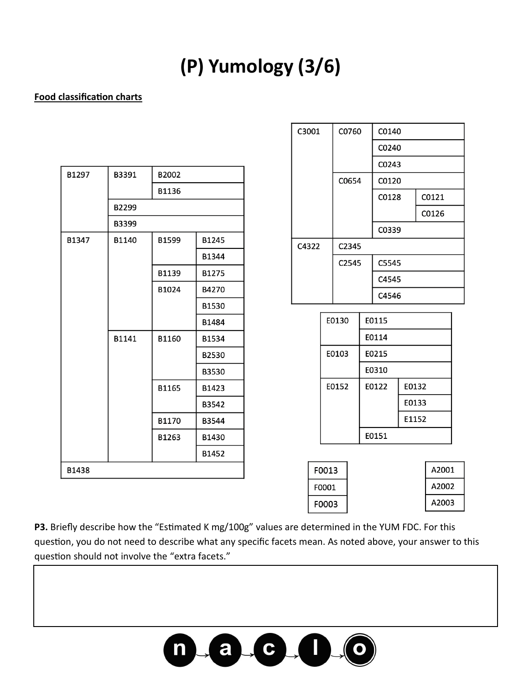### **(P) Yumology (3/6)**

#### **Food classification charts**

| B1297 | B3391 | B2002 |       |  |  |  |
|-------|-------|-------|-------|--|--|--|
|       |       | B1136 |       |  |  |  |
|       | B2299 |       |       |  |  |  |
|       | B3399 |       |       |  |  |  |
| B1347 | B1140 | B1599 | B1245 |  |  |  |
|       |       |       | B1344 |  |  |  |
|       |       | B1139 | B1275 |  |  |  |
|       |       | B1024 | B4270 |  |  |  |
|       |       |       | B1530 |  |  |  |
|       |       |       | B1484 |  |  |  |
|       | B1141 | B1160 | B1534 |  |  |  |
|       |       |       | B2530 |  |  |  |
|       |       |       | B3530 |  |  |  |
|       |       | B1165 | B1423 |  |  |  |
|       |       |       | B3542 |  |  |  |
|       |       | B1170 | B3544 |  |  |  |
|       |       | B1263 | B1430 |  |  |  |
|       |       |       | B1452 |  |  |  |
| B1438 |       |       |       |  |  |  |

| C3001 |       | C0760<br>C0654 |       | C0140 |       |       |       |       |  |  |
|-------|-------|----------------|-------|-------|-------|-------|-------|-------|--|--|
|       |       |                |       | C0240 |       |       |       |       |  |  |
|       |       |                |       | C0243 |       |       |       |       |  |  |
|       |       |                |       | C0120 |       |       |       |       |  |  |
|       |       |                |       |       | C0128 |       |       | C0121 |  |  |
|       |       |                |       |       |       | C0126 |       |       |  |  |
|       |       |                |       |       | C0339 |       |       |       |  |  |
| C4322 |       |                | C2345 |       |       |       |       |       |  |  |
|       |       |                | C2545 |       | C5545 |       |       |       |  |  |
|       |       |                |       | C4545 |       |       |       |       |  |  |
|       |       |                |       | C4546 |       |       |       |       |  |  |
|       |       | E0130          |       |       |       |       |       |       |  |  |
|       |       |                |       |       |       | E0115 |       |       |  |  |
|       |       |                |       |       | E0114 |       |       |       |  |  |
|       |       |                | E0103 |       | E0215 |       |       |       |  |  |
|       |       |                |       |       |       | E0310 |       |       |  |  |
|       |       |                | E0152 |       | E0122 |       | E0132 |       |  |  |
|       |       |                |       |       |       | E0133 |       |       |  |  |
|       |       |                |       |       |       | E1152 |       |       |  |  |
|       |       |                |       | E0151 |       |       |       |       |  |  |
|       |       |                |       |       |       |       |       |       |  |  |
|       |       | F0013          |       |       |       |       |       | A2001 |  |  |
|       | F0001 |                |       |       |       |       |       | A2002 |  |  |

A2003

**P3.** Briefly describe how the "Estimated K mg/100g" values are determined in the YUM FDC. For this question, you do not need to describe what any specific facets mean. As noted above, your answer to this question should not involve the "extra facets."

F0003

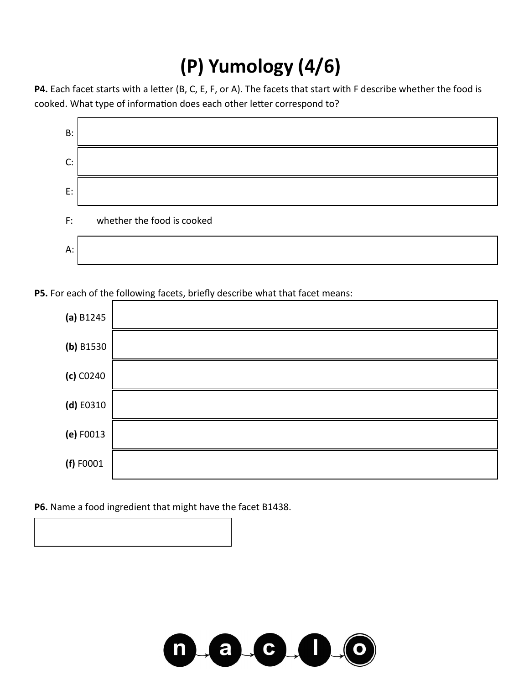## **(P) Yumology (4/6)**

**P4.** Each facet starts with a letter (B, C, E, F, or A). The facets that start with F describe whether the food is cooked. What type of information does each other letter correspond to?



**P5.** For each of the following facets, briefly describe what that facet means:



**P6.** Name a food ingredient that might have the facet B1438.

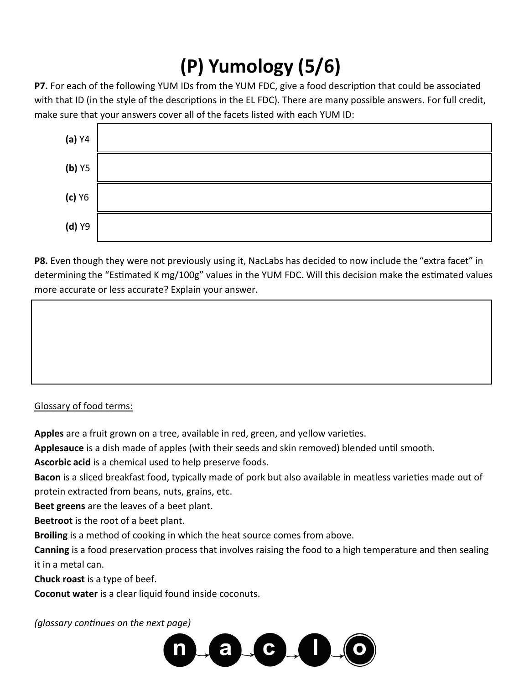# **(P) Yumology (5/6)**

**P7.** For each of the following YUM IDs from the YUM FDC, give a food description that could be associated with that ID (in the style of the descriptions in the EL FDC). There are many possible answers. For full credit, make sure that your answers cover all of the facets listed with each YUM ID:



**P8.** Even though they were not previously using it, NacLabs has decided to now include the "extra facet" in determining the "Estimated K mg/100g" values in the YUM FDC. Will this decision make the estimated values more accurate or less accurate? Explain your answer.

#### Glossary of food terms:

**Apples** are a fruit grown on a tree, available in red, green, and yellow varieties.

**Applesauce** is a dish made of apples (with their seeds and skin removed) blended until smooth.

**Ascorbic acid** is a chemical used to help preserve foods.

**Bacon** is a sliced breakfast food, typically made of pork but also available in meatless varieties made out of protein extracted from beans, nuts, grains, etc.

**Beet greens** are the leaves of a beet plant.

**Beetroot** is the root of a beet plant.

**Broiling** is a method of cooking in which the heat source comes from above.

**Canning** is a food preservation process that involves raising the food to a high temperature and then sealing it in a metal can.

**Chuck roast** is a type of beef.

**Coconut water** is a clear liquid found inside coconuts.

*(glossary continues on the next page)*